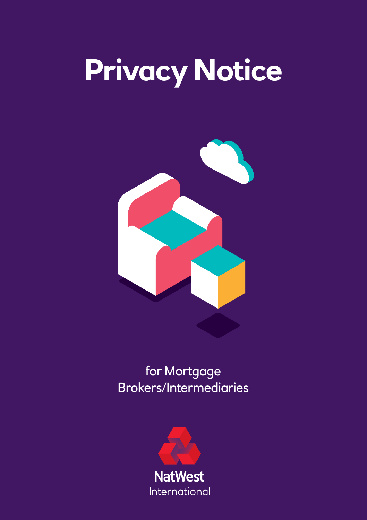# **Privacy Notice**



# for Mortgage Brokers/Intermediaries

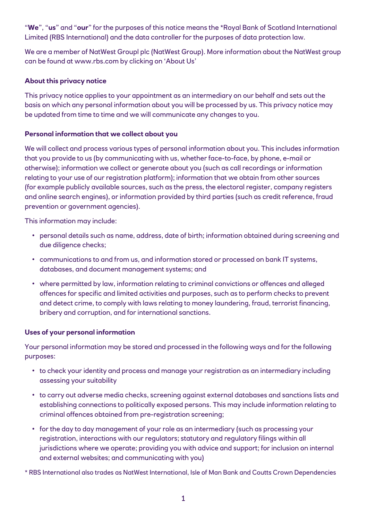"**We**", "**us**" and "**our**" for the purposes of this notice means the \*Royal Bank of Scotland International Limited (RBS International) and the data controller for the purposes of data protection law.

We are a member of NatWest Groupl plc (NatWest Group). More information about the NatWest group can be found at www.rbs.com by clicking on 'About Us'

### **About this privacy notice**

This privacy notice applies to your appointment as an intermediary on our behalf and sets out the basis on which any personal information about you will be processed by us. This privacy notice may be updated from time to time and we will communicate any changes to you.

#### **Personal information that we collect about you**

We will collect and process various types of personal information about you. This includes information that you provide to us (by communicating with us, whether face-to-face, by phone, e-mail or otherwise); information we collect or generate about you (such as call recordings or information relating to your use of our registration platform); information that we obtain from other sources (for example publicly available sources, such as the press, the electoral register, company registers and online search engines), or information provided by third parties (such as credit reference, fraud prevention or government agencies).

This information may include:

- personal details such as name, address, date of birth; information obtained during screening and due diligence checks;
- communications to and from us, and information stored or processed on bank IT systems, databases, and document management systems; and
- where permitted by law, information relating to criminal convictions or offences and alleged offences for specific and limited activities and purposes, such as to perform checks to prevent and detect crime, to comply with laws relating to money laundering, fraud, terrorist financing, bribery and corruption, and for international sanctions.

#### **Uses of your personal information**

Your personal information may be stored and processed in the following ways and for the following purposes:

- to check your identity and process and manage your registration as an intermediary including assessing your suitability
- to carry out adverse media checks, screening against external databases and sanctions lists and establishing connections to politically exposed persons. This may include information relating to criminal offences obtained from pre-registration screening;
- for the day to day management of your role as an intermediary (such as processing your registration, interactions with our regulators; statutory and regulatory filings within all jurisdictions where we operate; providing you with advice and support; for inclusion on internal and external websites; and communicating with you)

\* RBS International also trades as NatWest International, Isle of Man Bank and Coutts Crown Dependencies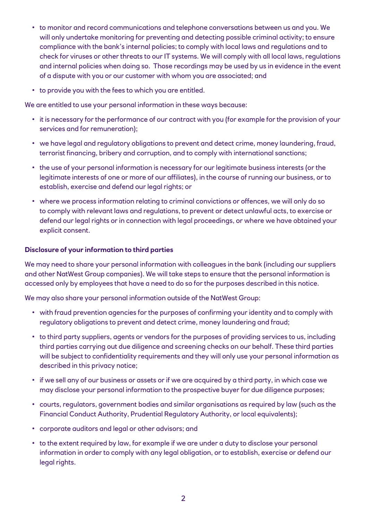- to monitor and record communications and telephone conversations between us and you. We will only undertake monitoring for preventing and detecting possible criminal activity; to ensure compliance with the bank's internal policies; to comply with local laws and regulations and to check for viruses or other threats to our IT systems. We will comply with all local laws, regulations and internal policies when doing so. Those recordings may be used by us in evidence in the event of a dispute with you or our customer with whom you are associated; and
- to provide you with the fees to which you are entitled.

We are entitled to use your personal information in these ways because:

- it is necessary for the performance of our contract with you (for example for the provision of your services and for remuneration);
- we have legal and regulatory obligations to prevent and detect crime, money laundering, fraud, terrorist financing, bribery and corruption, and to comply with international sanctions;
- the use of your personal information is necessary for our legitimate business interests (or the legitimate interests of one or more of our affiliates), in the course of running our business, or to establish, exercise and defend our legal rights; or
- where we process information relating to criminal convictions or offences, we will only do so to comply with relevant laws and regulations, to prevent or detect unlawful acts, to exercise or defend our legal rights or in connection with legal proceedings, or where we have obtained your explicit consent.

#### **Disclosure of your information to third parties**

We may need to share your personal information with colleagues in the bank (including our suppliers and other NatWest Group companies). We will take steps to ensure that the personal information is accessed only by employees that have a need to do so for the purposes described in this notice.

We may also share your personal information outside of the NatWest Group:

- with fraud prevention agencies for the purposes of confirming your identity and to comply with regulatory obligations to prevent and detect crime, money laundering and fraud;
- to third party suppliers, agents or vendors for the purposes of providing services to us, including third parties carrying out due diligence and screening checks on our behalf. These third parties will be subject to confidentiality requirements and they will only use your personal information as described in this privacy notice;
- if we sell any of our business or assets or if we are acquired by a third party, in which case we may disclose your personal information to the prospective buyer for due diligence purposes;
- courts, regulators, government bodies and similar organisations as required by law (such as the Financial Conduct Authority, Prudential Regulatory Authority, or local equivalents);
- corporate auditors and legal or other advisors; and
- to the extent required by law, for example if we are under a duty to disclose your personal information in order to comply with any legal obligation, or to establish, exercise or defend our legal rights.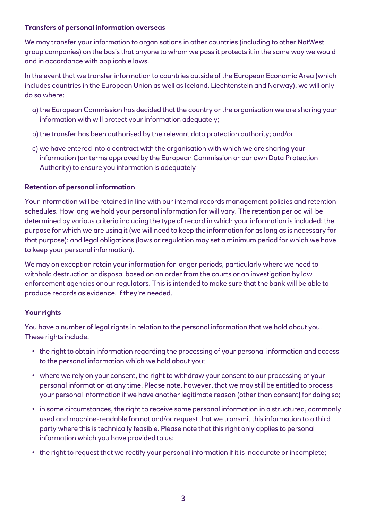#### **Transfers of personal information overseas**

We may transfer your information to organisations in other countries (including to other NatWest group companies) on the basis that anyone to whom we pass it protects it in the same way we would and in accordance with applicable laws.

In the event that we transfer information to countries outside of the European Economic Area (which includes countries in the European Union as well as Iceland, Liechtenstein and Norway), we will only do so where:

- a) the European Commission has decided that the country or the organisation we are sharing your information with will protect your information adequately;
- b) the transfer has been authorised by the relevant data protection authority; and/or
- c) we have entered into a contract with the organisation with which we are sharing your information (on terms approved by the European Commission or our own Data Protection Authority) to ensure you information is adequately

## **Retention of personal information**

Your information will be retained in line with our internal records management policies and retention schedules. How long we hold your personal information for will vary. The retention period will be determined by various criteria including the type of record in which your information is included; the purpose for which we are using it (we will need to keep the information for as long as is necessary for that purpose); and legal obligations (laws or regulation may set a minimum period for which we have to keep your personal information).

We may on exception retain your information for longer periods, particularly where we need to withhold destruction or disposal based on an order from the courts or an investigation by law enforcement agencies or our regulators. This is intended to make sure that the bank will be able to produce records as evidence, if they're needed.

# **Your rights**

You have a number of legal rights in relation to the personal information that we hold about you. These rights include:

- the right to obtain information regarding the processing of your personal information and access to the personal information which we hold about you;
- where we rely on your consent, the right to withdraw your consent to our processing of your personal information at any time. Please note, however, that we may still be entitled to process your personal information if we have another legitimate reason (other than consent) for doing so;
- in some circumstances, the right to receive some personal information in a structured, commonly used and machine-readable format and/or request that we transmit this information to a third party where this is technically feasible. Please note that this right only applies to personal information which you have provided to us;
- the right to request that we rectify your personal information if it is inaccurate or incomplete;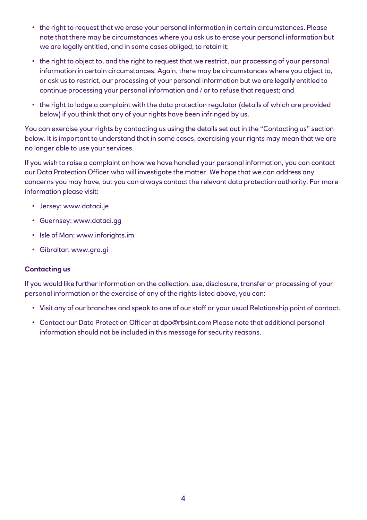- the right to request that we erase your personal information in certain circumstances. Please note that there may be circumstances where you ask us to erase your personal information but we are legally entitled, and in some cases obliged, to retain it;
- the right to object to, and the right to request that we restrict, our processing of your personal information in certain circumstances. Again, there may be circumstances where you object to, or ask us to restrict, our processing of your personal information but we are legally entitled to continue processing your personal information and / or to refuse that request; and
- the right to lodge a complaint with the data protection regulator (details of which are provided below) if you think that any of your rights have been infringed by us.

You can exercise your rights by contacting us using the details set out in the "Contacting us" section below. It is important to understand that in some cases, exercising your rights may mean that we are no longer able to use your services.

If you wish to raise a complaint on how we have handled your personal information, you can contact our Data Protection Officer who will investigate the matter. We hope that we can address any concerns you may have, but you can always contact the relevant data protection authority. For more information please visit:

- Jersey: www.dataci.je
- Guernsey: www.dataci.gg
- Isle of Man: www.inforights.im
- Gibraltar: www.gra.gi

#### **Contacting us**

If you would like further information on the collection, use, disclosure, transfer or processing of your personal information or the exercise of any of the rights listed above, you can:

- Visit any of our branches and speak to one of our staff or your usual Relationship point of contact.
- Contact our Data Protection Officer at dpo@rbsint.com Please note that additional personal information should not be included in this message for security reasons.